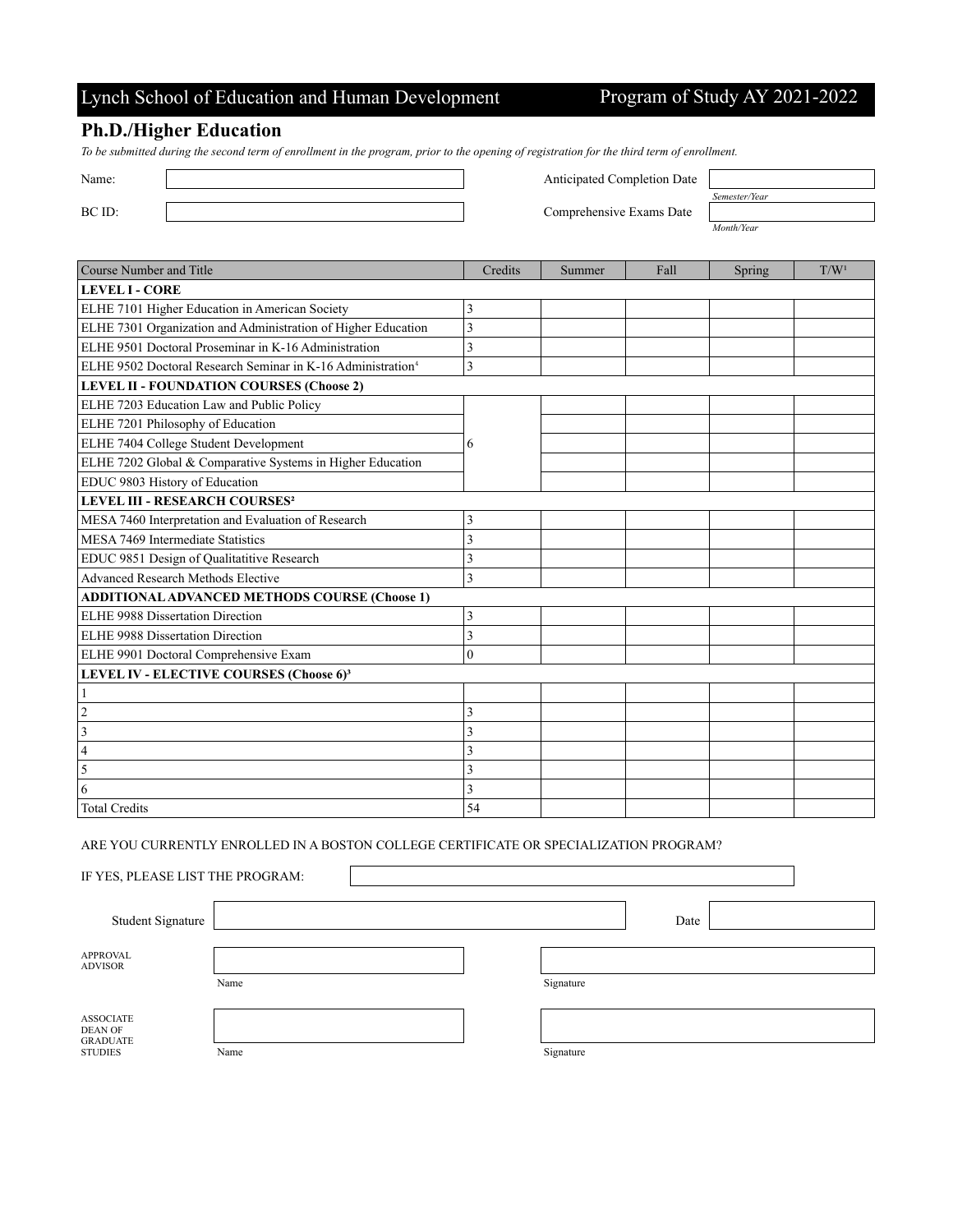## Lynch School of Education and Human Development Program of Study AY 2021-2022

*Month/Year*

### **Ph.D./Higher Education**

*To be submitted during the second term of enrollment in the program, prior to the opening of registration for the third term of enrollment.*

Name: Anticipated Completion Date Anticipated Completion Date

BC ID: Comprehensive Exams Date

| Semester/Year |  |
|---------------|--|
|               |  |
|               |  |

| Course Number and Title                                                 | Credits | Summer | Fall | Spring | T/W <sup>1</sup> |
|-------------------------------------------------------------------------|---------|--------|------|--------|------------------|
| <b>LEVEL I - CORE</b>                                                   |         |        |      |        |                  |
| ELHE 7101 Higher Education in American Society                          | 3       |        |      |        |                  |
| ELHE 7301 Organization and Administration of Higher Education           | 3       |        |      |        |                  |
| ELHE 9501 Doctoral Proseminar in K-16 Administration                    | 3       |        |      |        |                  |
| ELHE 9502 Doctoral Research Seminar in K-16 Administration <sup>4</sup> | 3       |        |      |        |                  |
| <b>LEVEL II - FOUNDATION COURSES (Choose 2)</b>                         |         |        |      |        |                  |
| ELHE 7203 Education Law and Public Policy                               |         |        |      |        |                  |
| ELHE 7201 Philosophy of Education                                       |         |        |      |        |                  |
| ELHE 7404 College Student Development                                   | 6       |        |      |        |                  |
| ELHE 7202 Global & Comparative Systems in Higher Education              |         |        |      |        |                  |
| EDUC 9803 History of Education                                          |         |        |      |        |                  |
| <b>LEVEL III - RESEARCH COURSES<sup>2</sup></b>                         |         |        |      |        |                  |
| MESA 7460 Interpretation and Evaluation of Research                     | 3       |        |      |        |                  |
| MESA 7469 Intermediate Statistics                                       | 3       |        |      |        |                  |
| EDUC 9851 Design of Qualitatitive Research                              | 3       |        |      |        |                  |
| Advanced Research Methods Elective                                      | 3       |        |      |        |                  |
| <b>ADDITIONAL ADVANCED METHODS COURSE (Choose 1)</b>                    |         |        |      |        |                  |
| ELHE 9988 Dissertation Direction                                        | 3       |        |      |        |                  |
| ELHE 9988 Dissertation Direction                                        | 3       |        |      |        |                  |
| ELHE 9901 Doctoral Comprehensive Exam                                   | 0       |        |      |        |                  |
| LEVEL IV - ELECTIVE COURSES (Choose 6) <sup>3</sup>                     |         |        |      |        |                  |
|                                                                         |         |        |      |        |                  |
| $\overline{2}$                                                          | 3       |        |      |        |                  |
| 3                                                                       | 3       |        |      |        |                  |
| 4                                                                       | 3       |        |      |        |                  |
| 5                                                                       | 3       |        |      |        |                  |
| 6                                                                       | 3       |        |      |        |                  |
| <b>Total Credits</b>                                                    | 54      |        |      |        |                  |

ARE YOU CURRENTLY ENROLLED IN A BOSTON COLLEGE CERTIFICATE OR SPECIALIZATION PROGRAM?

IF YES, PLEASE LIST THE PROGRAM:

Student Signature Date APPROVAL ADVISOR Name Signature ASSOCIATE DEAN OF GRADUATE STUDIES Name Name Signature Signature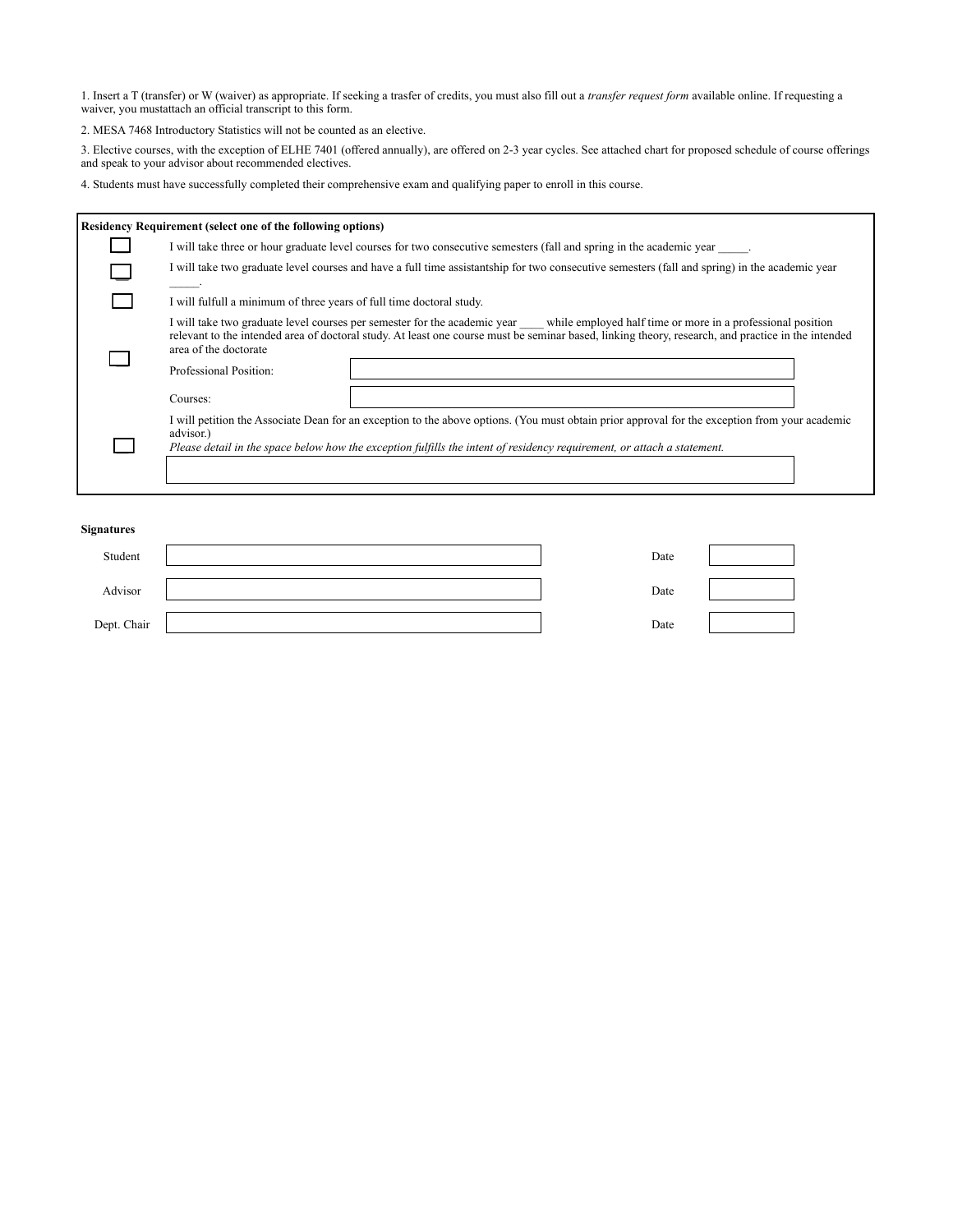1. Insert a T (transfer) or W (waiver) as appropriate. If seeking a trasfer of credits, you must also fill out a *transfer request form* available online. If requesting a waiver, you mustattach an official transcript to this form.

2. MESA 7468 Introductory Statistics will not be counted as an elective.

3. Elective courses, with the exception of ELHE 7401 (offered annually), are offered on 2-3 year cycles. See attached chart for proposed schedule of course offerings and speak to your advisor about recommended electives.

4. Students must have successfully completed their comprehensive exam and qualifying paper to enroll in this course.

| <b>Residency Requirement (select one of the following options)</b>                                                                                                                                                                                                                                                                             |  |  |
|------------------------------------------------------------------------------------------------------------------------------------------------------------------------------------------------------------------------------------------------------------------------------------------------------------------------------------------------|--|--|
| I will take three or hour graduate level courses for two consecutive semesters (fall and spring in the academic year                                                                                                                                                                                                                           |  |  |
| I will take two graduate level courses and have a full time assistantship for two consecutive semesters (fall and spring) in the academic year                                                                                                                                                                                                 |  |  |
| I will fulfull a minimum of three years of full time doctoral study.                                                                                                                                                                                                                                                                           |  |  |
| I will take two graduate level courses per semester for the academic year while employed half time or more in a professional position<br>relevant to the intended area of doctoral study. At least one course must be seminar based, linking theory, research, and practice in the intended<br>area of the doctorate<br>Professional Position: |  |  |
| Courses:                                                                                                                                                                                                                                                                                                                                       |  |  |
| I will petition the Associate Dean for an exception to the above options. (You must obtain prior approval for the exception from your academic<br>advisor.)<br>Please detail in the space below how the exception fulfills the intent of residency requirement, or attach a statement.                                                         |  |  |

#### **Signatures**

| Student     | Date |
|-------------|------|
| Advisor     | Date |
| Dept. Chair | Date |